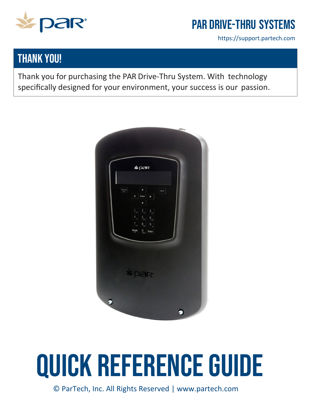

# PAR Drive-Thru Systems

https://support.partech.com

### **THANK YOU!**

Thank you for purchasing the PAR Drive-Thru System. With technology specifically designed for your environment, your success is our passion.



# Quick Reference Guide

© ParTech, Inc. All Rights Reserved | [www.partech.com](http://www.partech.com/)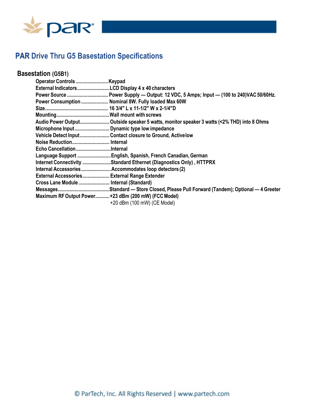

### **PAR Drive Thru G5 Basestation Specifications**

### **Basestation (G5B1)**

| Operator Controls Keypad                     |                                                                                           |
|----------------------------------------------|-------------------------------------------------------------------------------------------|
|                                              |                                                                                           |
|                                              | Power Source  Power Supply - Output: 12 VDC, 5 Amps; Input - (100 to 240)VAC 50/60Hz.     |
|                                              | Power Consumption  Nominal 8W. Fully loaded Max 60W                                       |
|                                              |                                                                                           |
|                                              |                                                                                           |
|                                              | Audio Power Output Outside speaker 5 watts, monitor speaker 3 watts (<2% THD) into 8 Ohms |
|                                              |                                                                                           |
|                                              | Vehicle Detect Input Contact closure to Ground, Active low                                |
| Noise Reduction Internal                     |                                                                                           |
| Echo CancellationInternal                    |                                                                                           |
|                                              | Language Support  English, Spanish, French Canadian, German                               |
|                                              | Internet Connectivity Standard Ethernet (Diagnostics Only), HTTPRX                        |
|                                              | Internal Accessories  Accommodates loop detectors (2)                                     |
| External Accessories External Range Extender |                                                                                           |
| Cross Lane Module  Internal (Standard)       |                                                                                           |
|                                              |                                                                                           |
|                                              | Maximum RF Output Power+23 dBm (200 mW) (FCC Model)<br>+20 dBm (100 mW) (CE Model)        |
|                                              |                                                                                           |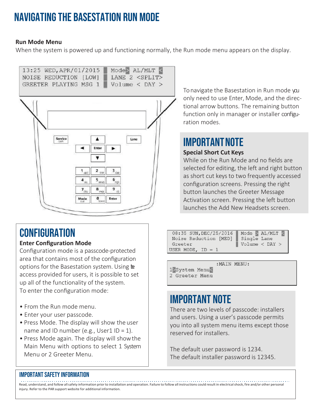# Navigating the basestation RUn Mode

#### **Run Mode Menu**

When the system is powered up and functioning normally, the Run mode menu appears on the display.

```
13:25 WED, APR/01/2015 Mode> AL/MLT <
NOISE REDUCTION [LOW]
                       LANE 2 <SPLIT>
GREETER PLAYING MSG 1 Volume < DAY >
```


# **CONFIGURATION**

### **Enter Configuration Mode**

Configuration mode is a passcode-protected area that contains most of the configuration options for the Basestation system. Using  $te$ access provided for users, it is possible to set up all of the functionality of the system. To enter the configuration mode:

- From the Run mode menu.
- Enter your user passcode.
- Press Mode. The display will show the user name and ID number (e.g., User1 ID = 1).
- Press Mode again. The display will showthe Main Menu with options to select 1 System Menu or 2 Greeter Menu.

To navigate the Basestation in Run mode you only need to use Enter, Mode, and the directional arrow buttons. The remaining button function only in manager or installer configuration modes.

# **IMPORTANT NOTE**

#### **Special Short Cut Keys**

While on the Run Mode and no fields are selected for editing, the left and right button as short cut keys to two frequently accessed configuration screens. Pressing the right button launches the Greeter Message Activation screen. Pressing the left button launches the Add New Headsets screen.

| 08:35 SUN, DEC/25/2016 | Mode $>$ AL/MLT               |
|------------------------|-------------------------------|
| Noise Reduction [MED]  | Single Lane                   |
| Greeter                | $\sqrt{$ Volume $\lt$ DAY $>$ |
| USER MODE, $ID = 1$    |                               |

:MAIN MENU: 1>System Menu< 2 Greeter Menu

### IMPORTANT NOTE

There are two levels of passcode: installers and users. Using a user's passcode permits you into all system menu items except those reserved for installers.

The default user password is 1234. The default installer password is 12345.

### Important Safety Information

Read, understand, and follow all safety information prior to installation and operation. Failure to follow all instructions could result in electrical shock, fire and/or other personal injury. Refer to the PAR support website for additional information.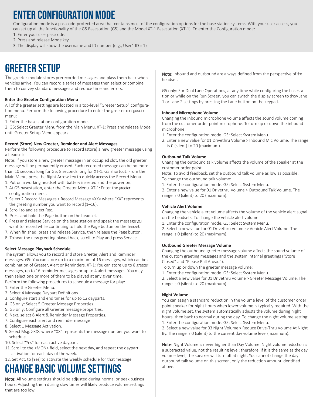### Enter Configuration Mode

Configuration mode is a passcode-protected area that contains most of the configuration options for the base station systems. With your user access, you can set up all the functionality of the G5 Basestation (G5) and the Model XT-1 Basestation (XT-1). To enter the Configuration mode:

- 1. Enter your user passcode.
- 2. Press and release Mode key.
- 3. The display will show the username and ID number (e.g., User1 ID = 1)

### Greeter Setup

The greeter module stores prerecorded messages and plays them back when vehicles arrive. You can record a series of messages then select or combine them to convey standard messages and reduce time and errors.

#### **Enter the Greeter Configuration Menu**

All of the greeter settings are located in a top-level "Greeter Setup" configuration menu. Perform the following procedure to enter the greeter configuration menu:

1. Enter the base station configuration mode.

2. G5: Select Greeter Menu from the Main Menu. XT-1: Press and release Mode until Greeter Setup Menu appears.

#### **Record (Store) New Greeter, Reminder and Alert Messages**

Perform the following procedure to record (store) a new greeter message using a headset:

Note: If you store a new greeter message in an occupied slot, the old greeter message will be permanently erased. Each recorded message can be no more than 10 seconds long for G5; 8 seconds long for XT-1. G5 shortcut: From the Main Menu, press the Right Arrow key to quickly access the Record Menu.

- 1. Put on a working headset with battery inserted and the power on.
- 2. At G5 basestation, enter the Greeter Menu. XT-1: Enter the greeter configuration menu.
- 3. Select 2 Record Messages > Record Message >XX< where "XX" represents the greeting number you want to record (1–16).
- 4. Scroll to and select Rec.
- 5. Press and hold the Page button on the headset.
- 6. Press and release Service on the base station and speak the messageyou want to record while continuing to hold the Page button on the headset.
- 7. When finished, press and release Service, then release the Page button.
- 8. To hear the new greeting played back, scroll to Play and press Service.

#### **Select Message Playback Schedule**

The system allows you to record and store Greeter, Alert and Reminder messages. G5: You can store up to a maximum of 16 messages, which can be a combination of Greeter, Alert or Reminders. XT-1: You can store up to 8 greeter messages, up to 16 reminder messages or up to 4 alert messages. You may then select one or more of them to be played at any given time.

Perform the following procedures to schedule a message for play: 1. Enter the Greeter Menu.

- 2. Select 4 Message Daypart Definitions.
- 3. Configure start and end times for up to 12 dayparts.
- 4. G5 only: Select 5 Greeter Message Properties.
- 5. G5 only: Configure all Greeter message properties.
- 6. Next, select 6 Alert & Reminder Message Properties.
- 7. Configure each alert and reminder message
- 8. Select 1 Message Activation.
- 9. Select Msg. >XX< where "XX" represents the message number you want to schedule.
- 10. Select "Yes" for each active daypart.
- 11.Scroll to the <MON> field, select the next day, and repeat the daypart activation for each day of the week.
- 12. Set Act. to [Yes] to activate the weekly schedule for that message.

### Change Basic Volume Settings

Note: All volume settings should be adjusted during normal or peak business hours. Adjusting them during slow times will likely produce volume settings that are too low.

Note: Inbound and outbound are always defined from the perspective of the headset.

G5 only: For Dual Lane Operations, at any time while configuring the basestation or while on the Run Screen, you can switch the display screen to showLane 1 or Lane 2 settings by pressing the Lane button on the keypad.

#### **Inbound Microphone Volume**

Changing the inbound microphone volume affects the sound volume coming from the customer order point microphone. To turn up or down the inbound microphone:

- 1. Enter the configuration mode. G5: Select System Menu.
- 2. Enter a new value for 01 Drivethru Volume > Inbound Mic Volume. The range is 0 (silent) to 20 (maximum).

#### **Outbound Talk Volume**

Changing the outbound talk volume affects the volume of the speaker at the customer order point.

Note: To avoid feedback, set the outbound talk volume as low as possible. To change the outbound talk volume:

1. Enter the configuration mode. G5: Select System Menu.

2. Enter a new value for 01 Drivethru Volume > Outbound Talk Volume. The range is 0 (silent) to 20 (maximum).

#### **Vehicle Alert Volume**

Changing the vehicle alert volume affects the volume of the vehicle alert signal on the headsets. To change the vehicle alert volume:

1. Enter the configuration mode. G5: Select System Menu.

2. Select a new value for 01 Drivethru Volume > Vehicle Alert Volume. The range is 0 (silent) to 20 (maximum).

#### **Outbound Greeter Message Volume**

Changing the outbound greeter message volume affects the sound volume of the custom greeting messages and the system internal greetings ("Store Closed" and "Please Pull Ahead").

- To turn up or down the greeter message volume:
- 1. Enter the configuration mode. G5: Select System Menu.

2. Select a new value for 01 Drivethru Volume > Greeter Message Volume. The range is 0 (silent) to 20 (maximum).

#### **Night Volume**

You can assign a standard reduction in the volume level of the customer order point speaker for night hours when lower volume is typically required. With the night volume set, the system automatically adjusts the volume during night hours, then back to normal during the day. To change the night volume setting:

1. Enter the configuration mode. G5: Select System Menu.

2. Select a new value for 03 Night Volume > Reduce Drive-Thru Volume At Night By. The range is 0 (silent) to the current day volume level(maximum).

Note: Night Volume is never higher than Day Volume. Night volume reduction is a subtracted value, not the resulting level; therefore, if it is the same as the day volume level, the speaker will turn off at night. You cannot change the day outbound talk volume on this screen, only the reduction amount identified above.